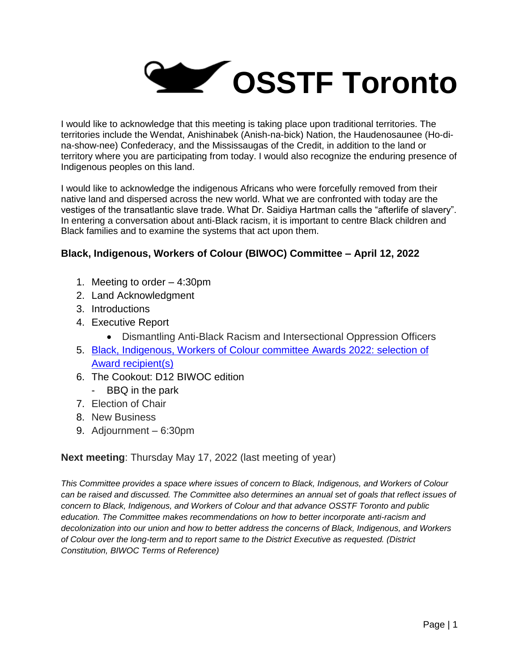

I would like to acknowledge that this meeting is taking place upon traditional territories. The territories include the Wendat, Anishinabek (Anish-na-bick) Nation, the Haudenosaunee (Ho-dina-show-nee) Confederacy, and the Mississaugas of the Credit, in addition to the land or territory where you are participating from today. I would also recognize the enduring presence of Indigenous peoples on this land.

I would like to acknowledge the indigenous Africans who were forcefully removed from their native land and dispersed across the new world. What we are confronted with today are the vestiges of the transatlantic slave trade. What Dr. Saidiya Hartman calls the "afterlife of slavery". In entering a conversation about anti-Black racism, it is important to centre Black children and Black families and to examine the systems that act upon them.

## **Black, Indigenous, Workers of Colour (BIWOC) Committee – April 12, 2022**

- 1. Meeting to order 4:30pm
- 2. Land Acknowledgment
- 3. Introductions
- 4. Executive Report
	- Dismantling Anti-Black Racism and Intersectional Oppression Officers
- 5. [Black, Indigenous, Workers of Colour committee](https://osstftoronto.ca/news/2021/12/black-indigenous-workers-of-colour-committee-award-2022/) Awards 2022: selection of Award recipient(s)
- 6. The Cookout: D12 BIWOC edition
	- BBQ in the park
- 7. Election of Chair
- 8. New Business
- 9. Adjournment 6:30pm

## **Next meeting**: Thursday May 17, 2022 (last meeting of year)

*This Committee provides a space where issues of concern to Black, Indigenous, and Workers of Colour can be raised and discussed. The Committee also determines an annual set of goals that reflect issues of concern to Black, Indigenous, and Workers of Colour and that advance OSSTF Toronto and public education. The Committee makes recommendations on how to better incorporate anti-racism and decolonization into our union and how to better address the concerns of Black, Indigenous, and Workers of Colour over the long-term and to report same to the District Executive as requested. (District Constitution, BIWOC Terms of Reference)*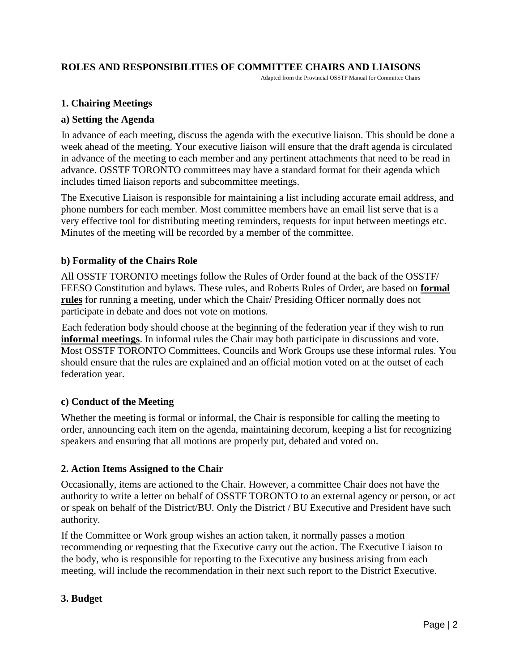#### **ROLES AND RESPONSIBILITIES OF COMMITTEE CHAIRS AND LIAISONS**

Adapted from the Provincial OSSTF Manual for Committee Chairs

#### **1. Chairing Meetings**

#### **a) Setting the Agenda**

In advance of each meeting, discuss the agenda with the executive liaison. This should be done a week ahead of the meeting. Your executive liaison will ensure that the draft agenda is circulated in advance of the meeting to each member and any pertinent attachments that need to be read in advance. OSSTF TORONTO committees may have a standard format for their agenda which includes timed liaison reports and subcommittee meetings.

The Executive Liaison is responsible for maintaining a list including accurate email address, and phone numbers for each member. Most committee members have an email list serve that is a very effective tool for distributing meeting reminders, requests for input between meetings etc. Minutes of the meeting will be recorded by a member of the committee.

#### **b) Formality of the Chairs Role**

All OSSTF TORONTO meetings follow the Rules of Order found at the back of the OSSTF/ FEESO Constitution and bylaws. These rules, and Roberts Rules of Order, are based on **formal rules** for running a meeting, under which the Chair/ Presiding Officer normally does not participate in debate and does not vote on motions.

Each federation body should choose at the beginning of the federation year if they wish to run **informal meetings**. In informal rules the Chair may both participate in discussions and vote. Most OSSTF TORONTO Committees, Councils and Work Groups use these informal rules. You should ensure that the rules are explained and an official motion voted on at the outset of each federation year.

#### **c) Conduct of the Meeting**

Whether the meeting is formal or informal, the Chair is responsible for calling the meeting to order, announcing each item on the agenda, maintaining decorum, keeping a list for recognizing speakers and ensuring that all motions are properly put, debated and voted on.

#### **2. Action Items Assigned to the Chair**

Occasionally, items are actioned to the Chair. However, a committee Chair does not have the authority to write a letter on behalf of OSSTF TORONTO to an external agency or person, or act or speak on behalf of the District/BU. Only the District / BU Executive and President have such authority.

If the Committee or Work group wishes an action taken, it normally passes a motion recommending or requesting that the Executive carry out the action. The Executive Liaison to the body, who is responsible for reporting to the Executive any business arising from each meeting, will include the recommendation in their next such report to the District Executive.

#### **3. Budget**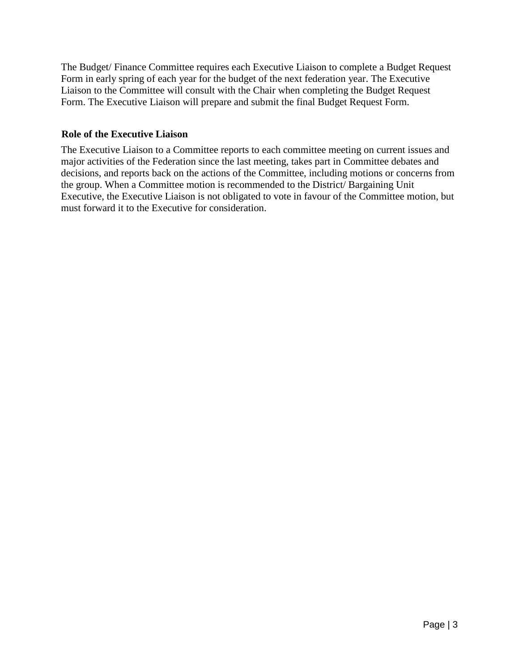The Budget/ Finance Committee requires each Executive Liaison to complete a Budget Request Form in early spring of each year for the budget of the next federation year. The Executive Liaison to the Committee will consult with the Chair when completing the Budget Request Form. The Executive Liaison will prepare and submit the final Budget Request Form.

#### **Role of the Executive Liaison**

The Executive Liaison to a Committee reports to each committee meeting on current issues and major activities of the Federation since the last meeting, takes part in Committee debates and decisions, and reports back on the actions of the Committee, including motions or concerns from the group. When a Committee motion is recommended to the District/ Bargaining Unit Executive, the Executive Liaison is not obligated to vote in favour of the Committee motion, but must forward it to the Executive for consideration.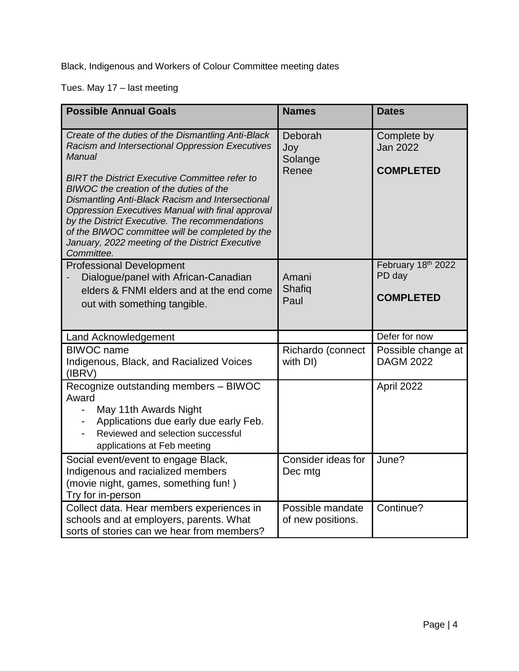Black, Indigenous and Workers of Colour Committee meeting dates

Tues. May 17 – last meeting

| <b>Possible Annual Goals</b>                                                                                                                                                                                                                                                                                                                                                                                                                                                                             | <b>Names</b>                          | <b>Dates</b>                                       |
|----------------------------------------------------------------------------------------------------------------------------------------------------------------------------------------------------------------------------------------------------------------------------------------------------------------------------------------------------------------------------------------------------------------------------------------------------------------------------------------------------------|---------------------------------------|----------------------------------------------------|
| Create of the duties of the Dismantling Anti-Black<br>Racism and Intersectional Oppression Executives<br><b>Manual</b><br><b>BIRT the District Executive Committee refer to</b><br>BIWOC the creation of the duties of the<br>Dismantling Anti-Black Racism and Intersectional<br>Oppression Executives Manual with final approval<br>by the District Executive. The recommendations<br>of the BIWOC committee will be completed by the<br>January, 2022 meeting of the District Executive<br>Committee. | Deborah<br>Joy<br>Solange<br>Renee    | Complete by<br><b>Jan 2022</b><br><b>COMPLETED</b> |
| <b>Professional Development</b><br>Dialogue/panel with African-Canadian<br>elders & FNMI elders and at the end come<br>out with something tangible.                                                                                                                                                                                                                                                                                                                                                      | Amani<br>Shafiq<br>Paul               | February 18th 2022<br>PD day<br><b>COMPLETED</b>   |
| <b>Land Acknowledgement</b>                                                                                                                                                                                                                                                                                                                                                                                                                                                                              |                                       | Defer for now                                      |
| <b>BIWOC</b> name<br>Indigenous, Black, and Racialized Voices<br>(IBRV)                                                                                                                                                                                                                                                                                                                                                                                                                                  | Richardo (connect<br>with DI)         | Possible change at<br><b>DAGM 2022</b>             |
| Recognize outstanding members - BIWOC<br>Award<br>May 11th Awards Night<br>Applications due early due early Feb.<br>Reviewed and selection successful<br>applications at Feb meeting                                                                                                                                                                                                                                                                                                                     |                                       | April 2022                                         |
| Social event/event to engage Black,<br>Indigenous and racialized members<br>(movie night, games, something fun!)<br>Try for in-person                                                                                                                                                                                                                                                                                                                                                                    | Consider ideas for<br>Dec mtg         | June?                                              |
| Collect data. Hear members experiences in<br>schools and at employers, parents. What<br>sorts of stories can we hear from members?                                                                                                                                                                                                                                                                                                                                                                       | Possible mandate<br>of new positions. | Continue?                                          |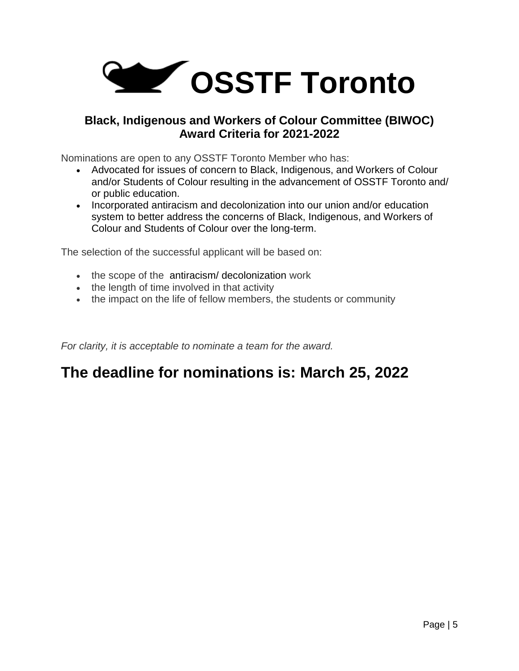

## **Black, Indigenous and Workers of Colour Committee (BIWOC) Award Criteria for 2021-2022**

Nominations are open to any OSSTF Toronto Member who has:

- Advocated for issues of concern to Black, Indigenous, and Workers of Colour and/or Students of Colour resulting in the advancement of OSSTF Toronto and/ or public education.
- Incorporated antiracism and decolonization into our union and/or education system to better address the concerns of Black, Indigenous, and Workers of Colour and Students of Colour over the long-term.

The selection of the successful applicant will be based on:

- the scope of the antiracism/ decolonization work
- the length of time involved in that activity
- the impact on the life of fellow members, the students or community

*For clarity, it is acceptable to nominate a team for the award.* 

# **The deadline for nominations is: March 25, 2022**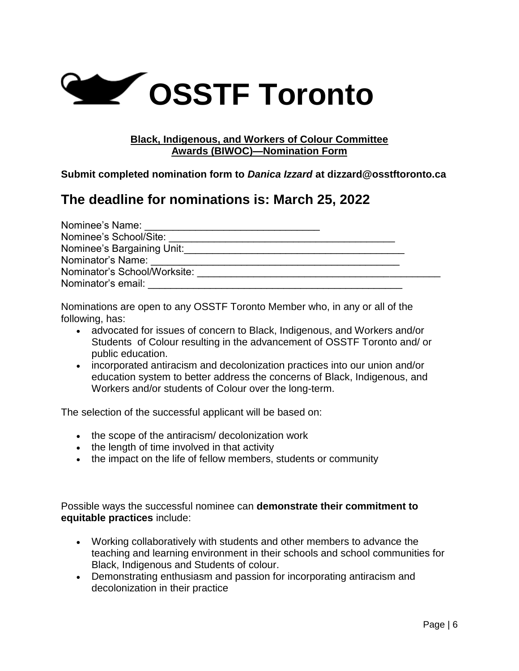

#### **Black, Indigenous, and Workers of Colour Committee Awards (BIWOC)—Nomination Form**

**Submit completed nomination form to** *Danica Izzard* **at dizzard@osstftoronto.ca**

## **The deadline for nominations is: March 25, 2022**

| Nominee's Name:              |  |
|------------------------------|--|
| Nominee's School/Site:       |  |
| Nominee's Bargaining Unit:   |  |
| Nominator's Name:            |  |
| Nominator's School/Worksite: |  |
| Nominator's email:           |  |

Nominations are open to any OSSTF Toronto Member who, in any or all of the following, has:

- advocated for issues of concern to Black, Indigenous, and Workers and/or Students of Colour resulting in the advancement of OSSTF Toronto and/ or public education.
- incorporated antiracism and decolonization practices into our union and/or education system to better address the concerns of Black, Indigenous, and Workers and/or students of Colour over the long-term.

The selection of the successful applicant will be based on:

- the scope of the antiracism/ decolonization work
- $\bullet$  the length of time involved in that activity
- the impact on the life of fellow members, students or community

Possible ways the successful nominee can **demonstrate their commitment to equitable practices** include:

- Working collaboratively with students and other members to advance the teaching and learning environment in their schools and school communities for Black, Indigenous and Students of colour.
- Demonstrating enthusiasm and passion for incorporating antiracism and decolonization in their practice